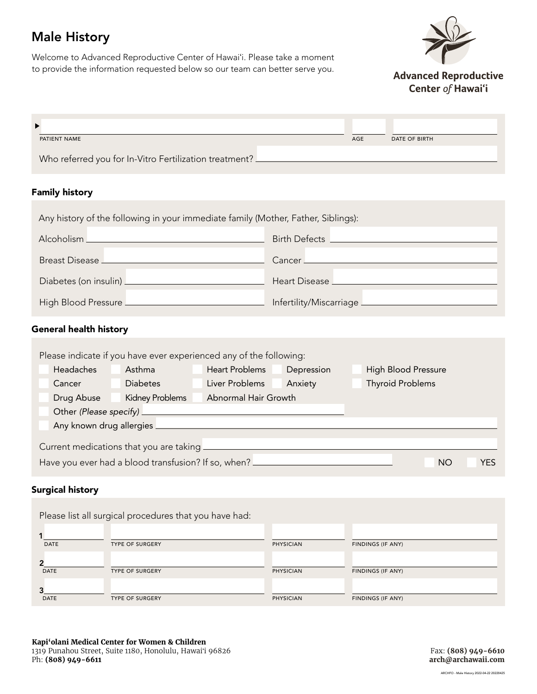# Male History

Welcome to Advanced Reproductive Center of Hawaiʻi. Please take a moment to provide the information requested below so our team can better serve you.



**Advanced Reproductive** Center of Hawai'i

| PATIENT NAME                                             | AGE | DATE OF BIRTH |
|----------------------------------------------------------|-----|---------------|
| Who referred you for In-Vitro Fertilization treatment? _ |     |               |

### Family history

| Any history of the following in your immediate family (Mother, Father, Siblings):                                                                                                                                                    |                                         |  |
|--------------------------------------------------------------------------------------------------------------------------------------------------------------------------------------------------------------------------------------|-----------------------------------------|--|
|                                                                                                                                                                                                                                      | Birth Defects <u>__________________</u> |  |
| Breast Disease <u>Land and a series of the series of the series of the series of the series of the series of the series of the series of the series of the series of the series of the series of the series of the series of the</u> |                                         |  |
| Diabetes (on insulin) <u>_____________________________</u>                                                                                                                                                                           |                                         |  |
|                                                                                                                                                                                                                                      | Infertility/Miscarriage                 |  |

## General health history

| Please indicate if you have ever experienced any of the following: |                                                     |                       |            |                            |            |
|--------------------------------------------------------------------|-----------------------------------------------------|-----------------------|------------|----------------------------|------------|
| Headaches                                                          | Asthma                                              | <b>Heart Problems</b> | Depression | <b>High Blood Pressure</b> |            |
| Cancer                                                             | <b>Diabetes</b>                                     | Liver Problems        | Anxiety    | <b>Thyroid Problems</b>    |            |
| Drug Abuse                                                         | <b>Kidney Problems</b>                              | Abnormal Hair Growth  |            |                            |            |
| Other (Please specify) _                                           |                                                     |                       |            |                            |            |
| Any known drug allergies _                                         |                                                     |                       |            |                            |            |
| Current medications that you are taking                            |                                                     |                       |            |                            |            |
|                                                                    | Have you ever had a blood transfusion? If so, when? |                       |            | <b>NO</b>                  | <b>YES</b> |

#### Surgical history

|             | Please list all surgical procedures that you have had: |                  |                   |
|-------------|--------------------------------------------------------|------------------|-------------------|
| <b>DATE</b> | <b>TYPE OF SURGERY</b>                                 | <b>PHYSICIAN</b> | FINDINGS (IF ANY) |
| <b>DATE</b> | <b>TYPE OF SURGERY</b>                                 | <b>PHYSICIAN</b> | FINDINGS (IF ANY) |
| <b>DATE</b> | <b>TYPE OF SURGERY</b>                                 | <b>PHYSICIAN</b> | FINDINGS (IF ANY) |